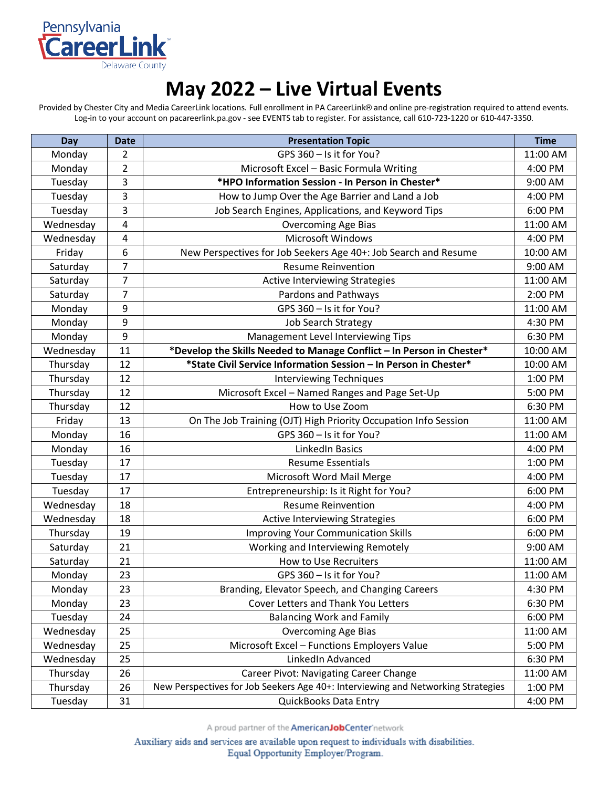

## **May 2022 – Live Virtual Events**

Provided by Chester City and Media CareerLink locations. Full enrollment in PA CareerLink® and online pre-registration required to attend events. Log-in to your account on pacareerlink.pa.gov - see EVENTS tab to register. For assistance, call 610-723-1220 or 610-447-3350.

| Day       | <b>Date</b>    | <b>Presentation Topic</b>                                                        | <b>Time</b> |
|-----------|----------------|----------------------------------------------------------------------------------|-------------|
| Monday    | 2              | GPS 360 - Is it for You?                                                         | 11:00 AM    |
| Monday    | $\overline{2}$ | Microsoft Excel - Basic Formula Writing                                          | 4:00 PM     |
| Tuesday   | 3              | *HPO Information Session - In Person in Chester*                                 | 9:00 AM     |
| Tuesday   | 3              | How to Jump Over the Age Barrier and Land a Job                                  | 4:00 PM     |
| Tuesday   | 3              | Job Search Engines, Applications, and Keyword Tips                               | 6:00 PM     |
| Wednesday | 4              | <b>Overcoming Age Bias</b>                                                       | 11:00 AM    |
| Wednesday | 4              | <b>Microsoft Windows</b>                                                         | 4:00 PM     |
| Friday    | 6              | New Perspectives for Job Seekers Age 40+: Job Search and Resume                  | 10:00 AM    |
| Saturday  | $\overline{7}$ | <b>Resume Reinvention</b>                                                        | 9:00 AM     |
| Saturday  | $\overline{7}$ | <b>Active Interviewing Strategies</b>                                            | 11:00 AM    |
| Saturday  | 7              | Pardons and Pathways                                                             | 2:00 PM     |
| Monday    | 9              | GPS 360 - Is it for You?                                                         | 11:00 AM    |
| Monday    | 9              | <b>Job Search Strategy</b>                                                       | 4:30 PM     |
| Monday    | 9              | Management Level Interviewing Tips                                               | 6:30 PM     |
| Wednesday | 11             | *Develop the Skills Needed to Manage Conflict - In Person in Chester*            | 10:00 AM    |
| Thursday  | 12             | *State Civil Service Information Session - In Person in Chester*                 | 10:00 AM    |
| Thursday  | 12             | <b>Interviewing Techniques</b>                                                   | 1:00 PM     |
| Thursday  | 12             | Microsoft Excel - Named Ranges and Page Set-Up                                   | 5:00 PM     |
| Thursday  | 12             | How to Use Zoom                                                                  | 6:30 PM     |
| Friday    | 13             | On The Job Training (OJT) High Priority Occupation Info Session                  | 11:00 AM    |
| Monday    | 16             | GPS 360 - Is it for You?                                                         | 11:00 AM    |
| Monday    | 16             | LinkedIn Basics                                                                  | 4:00 PM     |
| Tuesday   | 17             | <b>Resume Essentials</b>                                                         | 1:00 PM     |
| Tuesday   | 17             | Microsoft Word Mail Merge                                                        | 4:00 PM     |
| Tuesday   | 17             | Entrepreneurship: Is it Right for You?                                           | 6:00 PM     |
| Wednesday | 18             | <b>Resume Reinvention</b>                                                        | 4:00 PM     |
| Wednesday | 18             | Active Interviewing Strategies                                                   | 6:00 PM     |
| Thursday  | 19             | <b>Improving Your Communication Skills</b>                                       | 6:00 PM     |
| Saturday  | 21             | Working and Interviewing Remotely                                                | 9:00 AM     |
| Saturday  | 21             | <b>How to Use Recruiters</b>                                                     | 11:00 AM    |
| Monday    | 23             | GPS 360 - Is it for You?                                                         | 11:00 AM    |
| Monday    | 23             | Branding, Elevator Speech, and Changing Careers                                  | 4:30 PM     |
| Monday    | 23             | Cover Letters and Thank You Letters                                              | 6:30 PM     |
| Tuesday   | 24             | <b>Balancing Work and Family</b>                                                 | 6:00 PM     |
| Wednesday | 25             | <b>Overcoming Age Bias</b>                                                       | 11:00 AM    |
| Wednesday | 25             | Microsoft Excel - Functions Employers Value                                      | 5:00 PM     |
| Wednesday | 25             | LinkedIn Advanced                                                                | 6:30 PM     |
| Thursday  | 26             | <b>Career Pivot: Navigating Career Change</b>                                    | 11:00 AM    |
| Thursday  | 26             | New Perspectives for Job Seekers Age 40+: Interviewing and Networking Strategies | 1:00 PM     |
| Tuesday   | 31             | QuickBooks Data Entry                                                            | 4:00 PM     |

A proud partner of the **AmericanJobCenter**'network

Auxiliary aids and services are available upon request to individuals with disabilities. Equal Opportunity Employer/Program.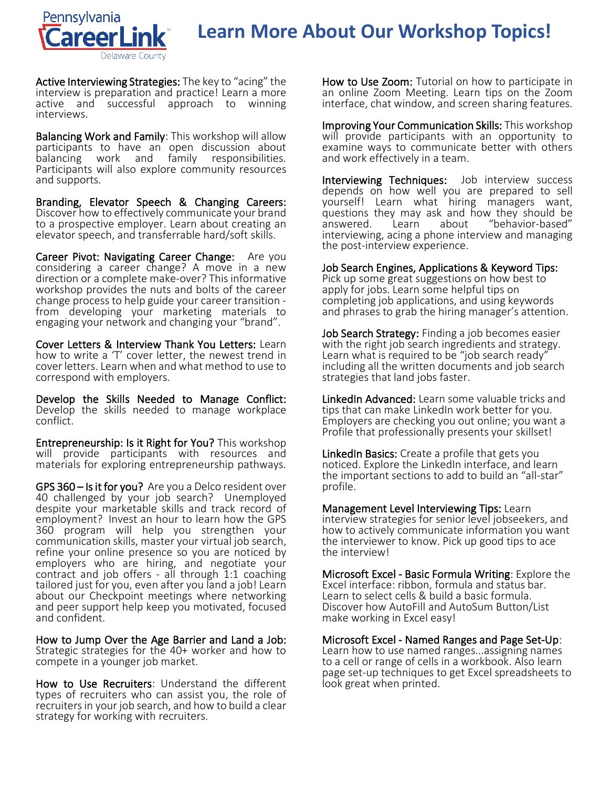

## **Learn More About Our Workshop Topics!**

Active Interviewing Strategies: The key to "acing" the interview is preparation and practice! Learn a more active and successful approach to winning interviews.

Balancing Work and Family: This workshop will allow participants to have an open discussion about work and family responsibilities. Participants will also explore community resources and supports.

Branding, Elevator Speech & Changing Careers: Discover how to effectively communicate your brand to a prospective employer. Learn about creating an elevator speech, and transferrable hard/soft skills.

Career Pivot: Navigating Career Change: Are you considering a career change? A move in a new direction or a complete make-over? This informative workshop provides the nuts and bolts of the career change process to help guide your career transition - from developing your marketing materials to engaging your network and changing your "brand".

Cover Letters & Interview Thank You Letters: Learn how to write a 'T' cover letter, the newest trend in cover letters. Learn when and what method to use to correspond with employers.

Develop the Skills Needed to Manage Conflict: Develop the skills needed to manage workplace conflict.

Entrepreneurship: Is it Right for You? This workshop will provide participants with resources and materials for exploring entrepreneurship pathways.

GPS 360 – Is it for you? Are you a Delco resident over 40 challenged by your job search? Unemployed despite your marketable skills and track record of employment? Invest an hour to learn how the GPS 360 program will help you strengthen your communication skills, master your virtual job search, refine your online presence so you are noticed by employers who are hiring, and negotiate your contract and job offers - all through 1:1 coaching tailored just for you, even after you land a job! Learn about our Checkpoint meetings where networking and peer support help keep you motivated, focused and confident.

How to Jump Over the Age Barrier and Land a Job: Strategic strategies for the 40+ worker and how to compete in a younger job market.

How to Use Recruiters: Understand the different types of recruiters who can assist you, the role of recruiters in your job search, and how to build a clear strategy for working with recruiters.

How to Use Zoom: Tutorial on how to participate in an online Zoom Meeting. Learn tips on the Zoom interface, chat window, and screen sharing features.

Improving Your Communication Skills: This workshop will provide participants with an opportunity to examine ways to communicate better with others and work effectively in a team.

Interviewing Techniques: Job interview success depends on how well you are prepared to sell yourself! Learn what hiring managers want, questions they may ask and how they should be<br>answered. Learn about "behavior-based" "behavior-based" interviewing, acing a phone interview and managing the post-interview experience.

Job Search Engines, Applications & Keyword Tips: Pick up some great suggestions on how best to apply for jobs. Learn some helpful tips on completing job applications, and using keywords and phrases to grab the hiring manager's attention.

Job Search Strategy: Finding a job becomes easier with the right job search ingredients and strategy. Learn what is required to be "job search ready" including all the written documents and job search strategies that land jobs faster.

LinkedIn Advanced: Learn some valuable tricks and tips that can make LinkedIn work better for you. Employers are checking you out online; you want a Profile that professionally presents your skillset!

LinkedIn Basics: Create a profile that gets you noticed. Explore the LinkedIn interface, and learn the important sections to add to build an "all-star" profile.

Management Level Interviewing Tips: Learn interview strategies for senior level jobseekers, and how to actively communicate information you want the interviewer to know. Pick up good tips to ace the interview!

Microsoft Excel - Basic Formula Writing: Explore the Excel interface: ribbon, formula and status bar. Learn to select cells & build a basic formula. Discover how AutoFill and AutoSum Button/List make working in Excel easy!

Microsoft Excel - Named Ranges and Page Set-Up: Learn how to use named ranges...assigning names to a cell or range of cells in a workbook. Also learn page set-up techniques to get Excel spreadsheets to look great when printed.